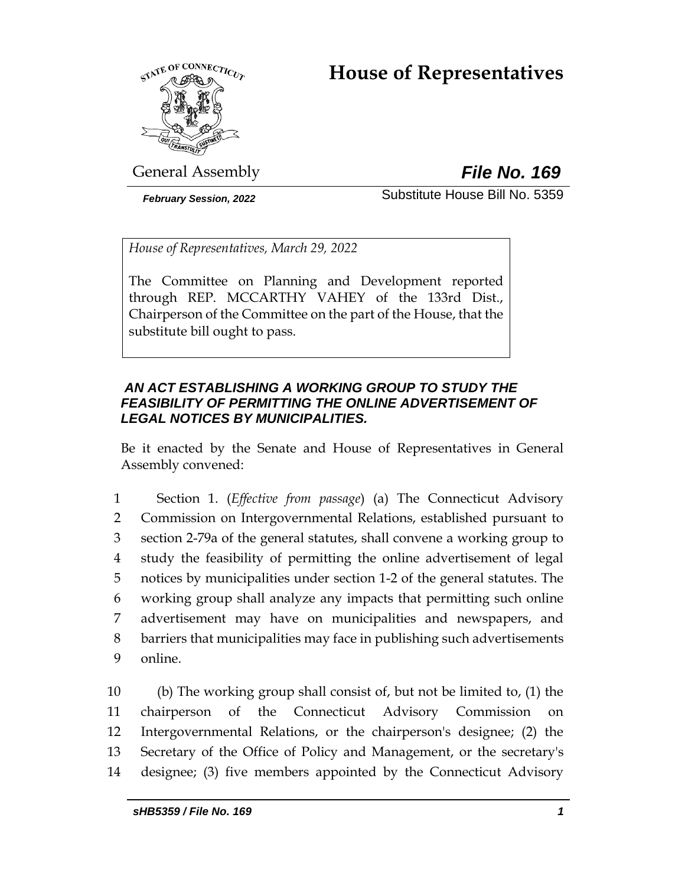# **House of Representatives**



General Assembly *File No. 169*

*February Session, 2022* Substitute House Bill No. 5359

*House of Representatives, March 29, 2022*

The Committee on Planning and Development reported through REP. MCCARTHY VAHEY of the 133rd Dist., Chairperson of the Committee on the part of the House, that the substitute bill ought to pass.

# *AN ACT ESTABLISHING A WORKING GROUP TO STUDY THE FEASIBILITY OF PERMITTING THE ONLINE ADVERTISEMENT OF LEGAL NOTICES BY MUNICIPALITIES.*

Be it enacted by the Senate and House of Representatives in General Assembly convened:

 Section 1. (*Effective from passage*) (a) The Connecticut Advisory Commission on Intergovernmental Relations, established pursuant to section 2-79a of the general statutes, shall convene a working group to study the feasibility of permitting the online advertisement of legal notices by municipalities under section 1-2 of the general statutes. The working group shall analyze any impacts that permitting such online advertisement may have on municipalities and newspapers, and barriers that municipalities may face in publishing such advertisements 9 online.

 (b) The working group shall consist of, but not be limited to, (1) the chairperson of the Connecticut Advisory Commission on Intergovernmental Relations, or the chairperson's designee; (2) the Secretary of the Office of Policy and Management, or the secretary's designee; (3) five members appointed by the Connecticut Advisory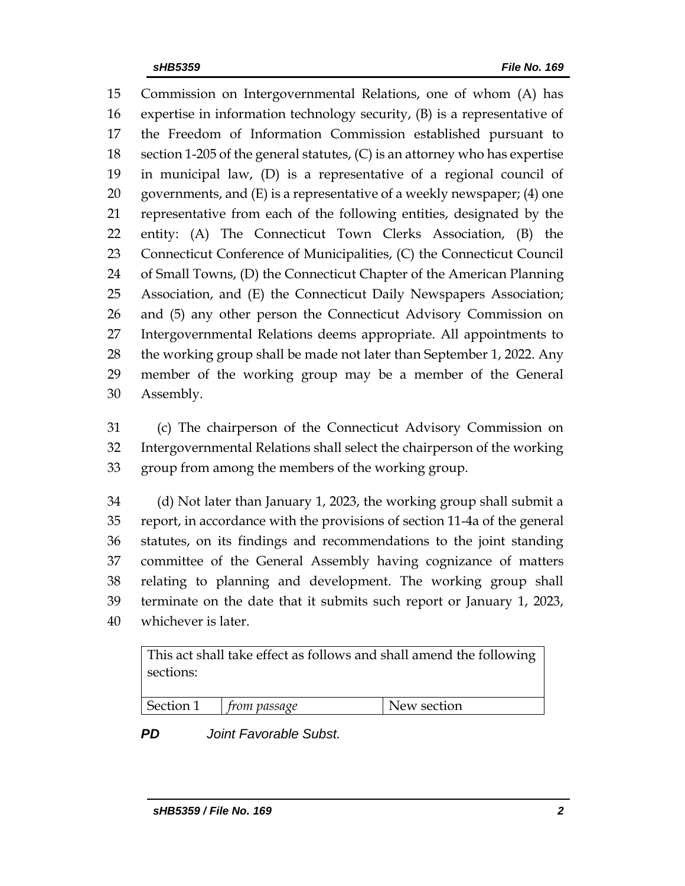Commission on Intergovernmental Relations, one of whom (A) has expertise in information technology security, (B) is a representative of the Freedom of Information Commission established pursuant to 18 section 1-205 of the general statutes,  $(C)$  is an attorney who has expertise in municipal law, (D) is a representative of a regional council of 20 governments, and  $(E)$  is a representative of a weekly newspaper; (4) one representative from each of the following entities, designated by the entity: (A) The Connecticut Town Clerks Association, (B) the 23 Connecticut Conference of Municipalities, (C) the Connecticut Council of Small Towns, (D) the Connecticut Chapter of the American Planning Association, and (E) the Connecticut Daily Newspapers Association; and (5) any other person the Connecticut Advisory Commission on Intergovernmental Relations deems appropriate. All appointments to the working group shall be made not later than September 1, 2022. Any member of the working group may be a member of the General Assembly.

 (c) The chairperson of the Connecticut Advisory Commission on Intergovernmental Relations shall select the chairperson of the working group from among the members of the working group.

 (d) Not later than January 1, 2023, the working group shall submit a report, in accordance with the provisions of section 11-4a of the general statutes, on its findings and recommendations to the joint standing committee of the General Assembly having cognizance of matters relating to planning and development. The working group shall terminate on the date that it submits such report or January 1, 2023, whichever is later.

This act shall take effect as follows and shall amend the following sections:

| Section<br>trom passage | New section |
|-------------------------|-------------|
|-------------------------|-------------|

*PD Joint Favorable Subst.*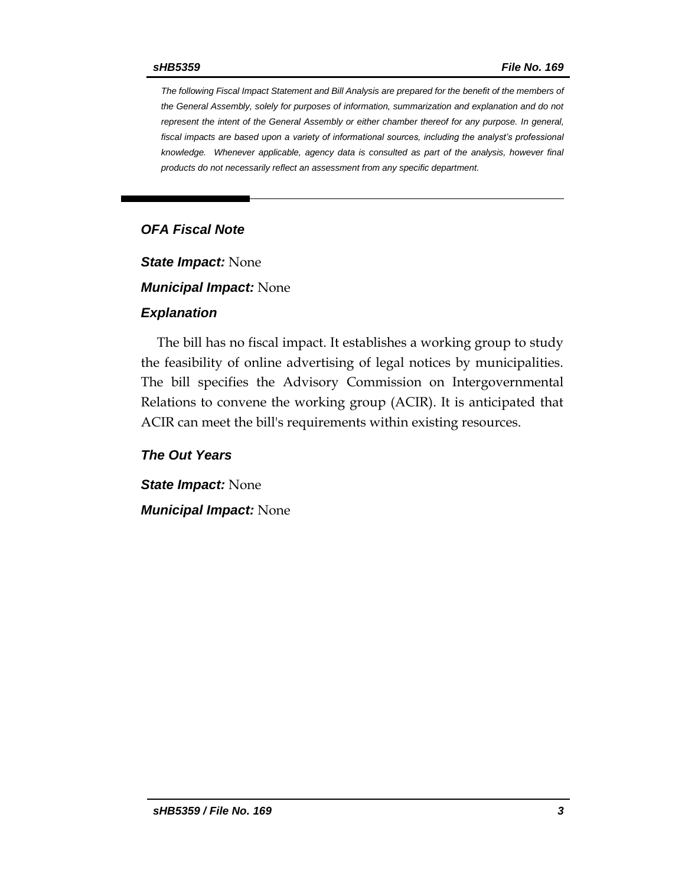*The following Fiscal Impact Statement and Bill Analysis are prepared for the benefit of the members of the General Assembly, solely for purposes of information, summarization and explanation and do not represent the intent of the General Assembly or either chamber thereof for any purpose. In general, fiscal impacts are based upon a variety of informational sources, including the analyst's professional knowledge. Whenever applicable, agency data is consulted as part of the analysis, however final products do not necessarily reflect an assessment from any specific department.*

# *OFA Fiscal Note*

*State Impact:* None

*Municipal Impact:* None

### *Explanation*

The bill has no fiscal impact. It establishes a working group to study the feasibility of online advertising of legal notices by municipalities. The bill specifies the Advisory Commission on Intergovernmental Relations to convene the working group (ACIR). It is anticipated that ACIR can meet the bill's requirements within existing resources.

*The Out Years*

*State Impact:* None *Municipal Impact:* None